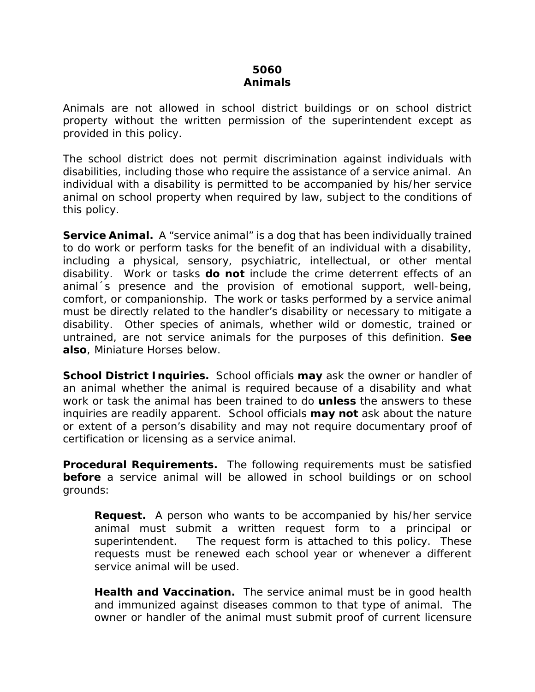## **5060 Animals**

Animals are not allowed in school district buildings or on school district property without the written permission of the superintendent except as provided in this policy.

The school district does not permit discrimination against individuals with disabilities, including those who require the assistance of a service animal. An individual with a disability is permitted to be accompanied by his/her service animal on school property when required by law, subject to the conditions of this policy.

**Service Animal.** A "service animal" is a dog that has been individually trained to do work or perform tasks for the benefit of an individual with a disability, including a physical, sensory, psychiatric, intellectual, or other mental disability. Work or tasks *do not* include the crime deterrent effects of an animal´s presence and the provision of emotional support, well-being, comfort, or companionship. The work or tasks performed by a service animal must be directly related to the handler's disability or necessary to mitigate a disability. Other species of animals, whether wild or domestic, trained or untrained, are not service animals for the purposes of this definition. *See also*, Miniature Horses below.

**School District Inquiries.** School officials *may* ask the owner or handler of an animal whether the animal is required because of a disability and what work or task the animal has been trained to do *unless* the answers to these inquiries are readily apparent. School officials *may not* ask about the nature or extent of a person's disability and may not require documentary proof of certification or licensing as a service animal.

**Procedural Requirements.** The following requirements must be satisfied **before** a service animal will be allowed in school buildings or on school grounds:

**Request.** A person who wants to be accompanied by his/her service animal must submit a written request form to a principal or superintendent. The request form is attached to this policy. These requests must be renewed each school year or whenever a different service animal will be used.

**Health and Vaccination.** The service animal must be in good health and immunized against diseases common to that type of animal. The owner or handler of the animal must submit proof of current licensure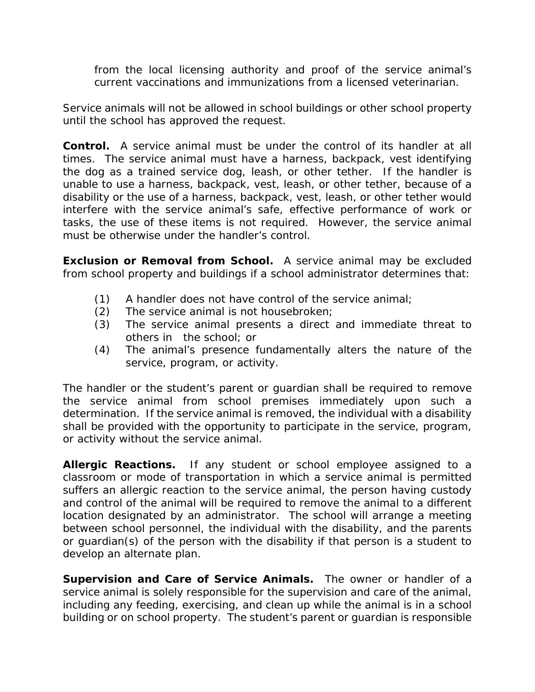from the local licensing authority and proof of the service animal's current vaccinations and immunizations from a licensed veterinarian.

Service animals will not be allowed in school buildings or other school property until the school has approved the request.

**Control.** A service animal must be under the control of its handler at all times. The service animal must have a harness, backpack, vest identifying the dog as a trained service dog, leash, or other tether. If the handler is unable to use a harness, backpack, vest, leash, or other tether, because of a disability or the use of a harness, backpack, vest, leash, or other tether would interfere with the service animal's safe, effective performance of work or tasks, the use of these items is not required. However, the service animal must be otherwise under the handler's control.

**Exclusion or Removal from School.** A service animal may be excluded from school property and buildings if a school administrator determines that:

- (1) A handler does not have control of the service animal;
- (2) The service animal is not housebroken;
- (3) The service animal presents a direct and immediate threat to others in the school; or
- (4) The animal's presence fundamentally alters the nature of the service, program, or activity.

The handler or the student's parent or guardian shall be required to remove the service animal from school premises immediately upon such a determination. If the service animal is removed, the individual with a disability shall be provided with the opportunity to participate in the service, program, or activity without the service animal.

**Allergic Reactions.** If any student or school employee assigned to a classroom or mode of transportation in which a service animal is permitted suffers an allergic reaction to the service animal, the person having custody and control of the animal will be required to remove the animal to a different location designated by an administrator. The school will arrange a meeting between school personnel, the individual with the disability, and the parents or guardian(s) of the person with the disability if that person is a student to develop an alternate plan.

**Supervision and Care of Service Animals.** The owner or handler of a service animal is solely responsible for the supervision and care of the animal, including any feeding, exercising, and clean up while the animal is in a school building or on school property. The student's parent or guardian is responsible